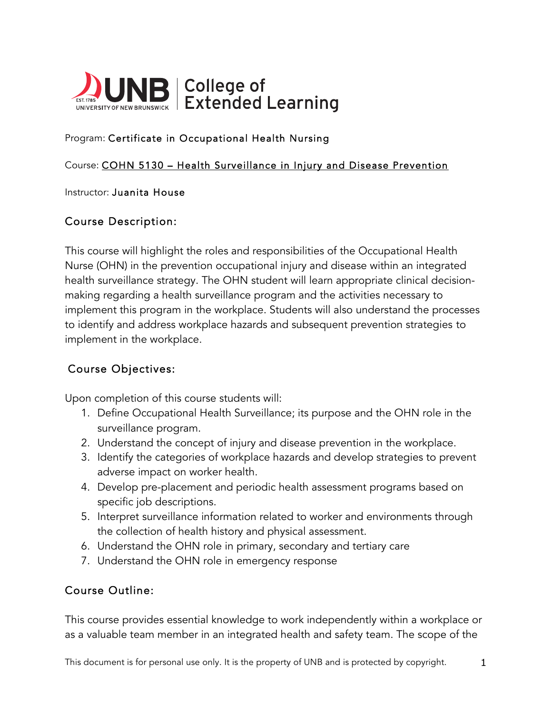

#### Program: Certificate in Occupational Health Nursing

#### Course: COHN 5130 – Health Surveillance in Injury and Disease Prevention

#### Instructor: Juanita House

### Course Description:

This course will highlight the roles and responsibilities of the Occupational Health Nurse (OHN) in the prevention occupational injury and disease within an integrated health surveillance strategy. The OHN student will learn appropriate clinical decisionmaking regarding a health surveillance program and the activities necessary to implement this program in the workplace. Students will also understand the processes to identify and address workplace hazards and subsequent prevention strategies to implement in the workplace.

### Course Objectives:

Upon completion of this course students will:

- 1. Define Occupational Health Surveillance; its purpose and the OHN role in the surveillance program.
- 2. Understand the concept of injury and disease prevention in the workplace.
- 3. Identify the categories of workplace hazards and develop strategies to prevent adverse impact on worker health.
- 4. Develop pre-placement and periodic health assessment programs based on specific job descriptions.
- 5. Interpret surveillance information related to worker and environments through the collection of health history and physical assessment.
- 6. Understand the OHN role in primary, secondary and tertiary care
- 7. Understand the OHN role in emergency response

### Course Outline:

This course provides essential knowledge to work independently within a workplace or as a valuable team member in an integrated health and safety team. The scope of the